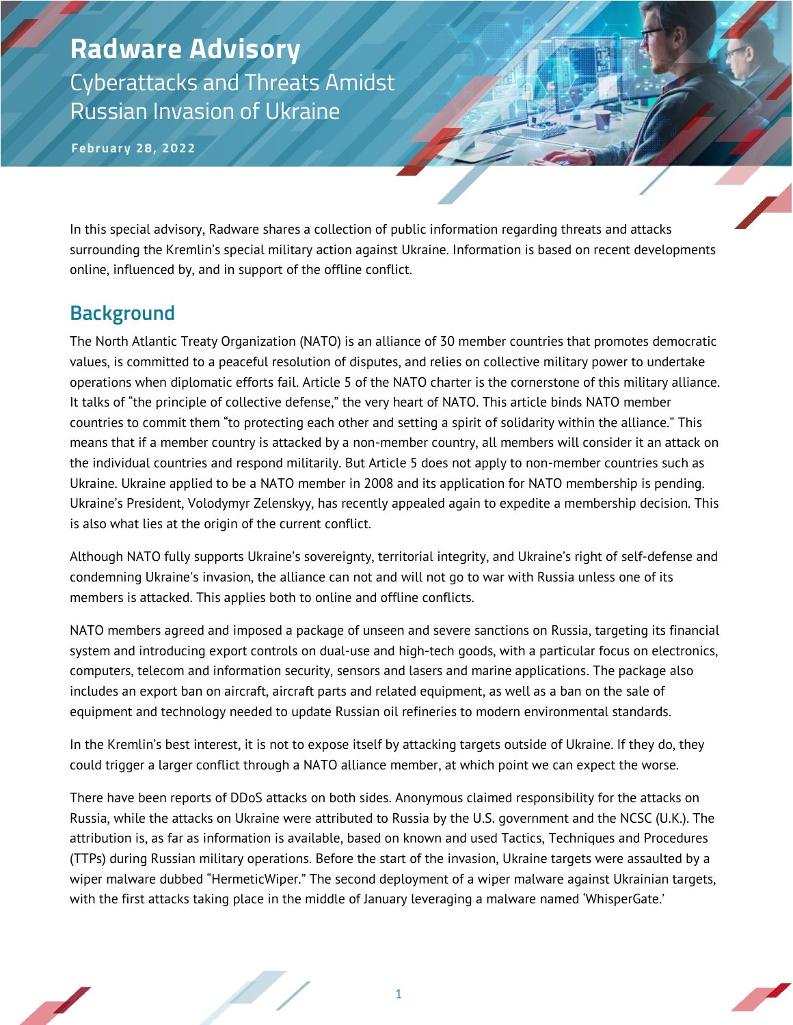**February 28, 2022**

In this special advisory, Radware shares a collection of public information regarding threats and attacks surrounding the Kremlin's special military action against Ukraine. Information is based on recent developments online, influenced by, and in support of the offline conflict.

#### **Background**

The North Atlantic Treaty Organization (NATO) is an alliance of 30 member countries that promotes democratic values, is committed to a peaceful resolution of disputes, and relies on collective military power to undertake operations when diplomatic efforts fail. Article 5 of the NATO charter is the cornerstone of this military alliance. It talks of "the principle of collective defense," the very heart of NATO. This article binds NATO member countries to commit them "to protecting each other and setting a spirit of solidarity within the alliance." This means that if a member country is attacked by a non-member country, all members will consider it an attack on the individual countries and respond militarily. But Article 5 does not apply to non-member countries such as Ukraine. Ukraine applied to be a NATO member in 2008 and its application for NATO membership is pending. Ukraine's President, Volodymyr Zelenskyy, has recently appealed again to expedite a membership decision. This is also what lies at the origin of the current conflict.

Although NATO fully supports Ukraine's sovereignty, territorial integrity, and Ukraine's right of self-defense and condemning Ukraine's invasion, the alliance can not and will not go to war with Russia unless one of its members is attacked. This applies both to online and offline conflicts.

NATO members agreed and imposed a package of unseen and severe sanctions on Russia, targeting its financial system and introducing export controls on dual-use and high-tech goods, with a particular focus on electronics, computers, telecom and information security, sensors and lasers and marine applications. The package also includes an export ban on aircraft, aircraft parts and related equipment, as well as a ban on the sale of equipment and technology needed to update Russian oil refineries to modern environmental standards.

In the Kremlin's best interest, it is not to expose itself by attacking targets outside of Ukraine. If they do, they could trigger a larger conflict through a NATO alliance member, at which point we can expect the worse.

There have been reports of DDoS attacks on both sides. Anonymous claimed responsibility for the attacks on Russia, while the attacks on Ukraine were attributed to Russia by the U.S. government and the NCSC (U.K.). The attribution is, as far as information is available, based on known and used Tactics, Techniques and Procedures (TTPs) during Russian military operations. Before the start of the invasion, Ukraine targets were assaulted by a wiper malware dubbed "HermeticWiper." The second deployment of a wiper malware against Ukrainian targets, with the first attacks taking place in the middle of January leveraging a malware named 'WhisperGate.'

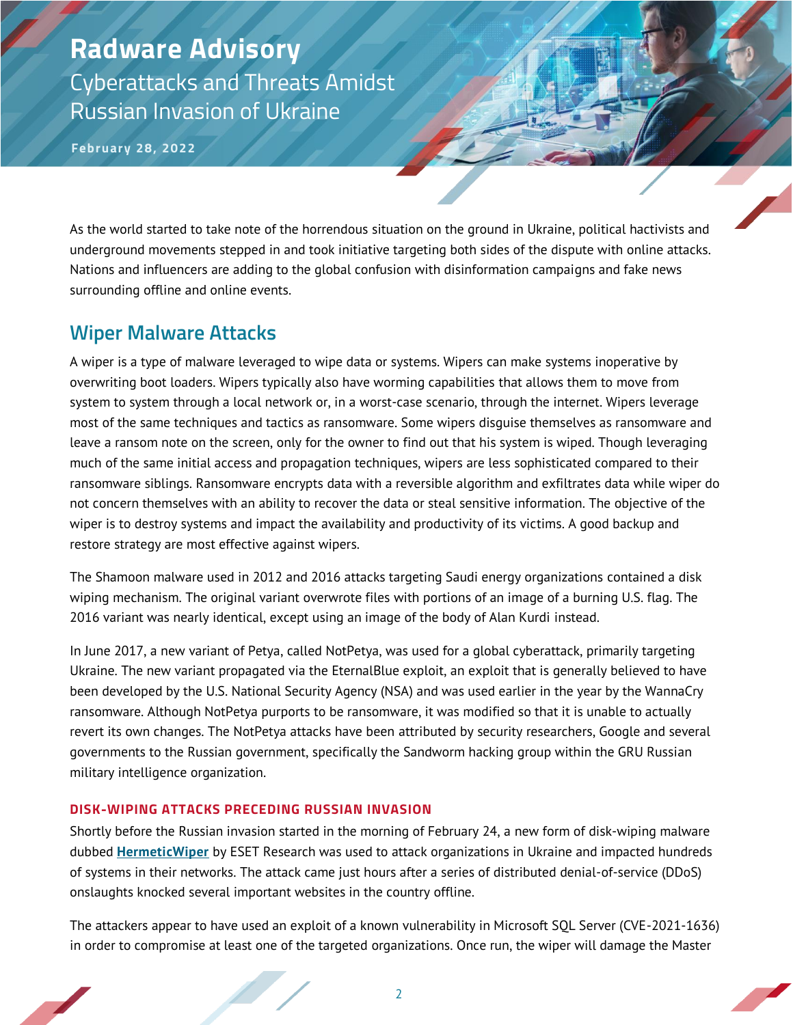**February 28, 2022**

As the world started to take note of the horrendous situation on the ground in Ukraine, political hactivists and underground movements stepped in and took initiative targeting both sides of the dispute with online attacks. Nations and influencers are adding to the global confusion with disinformation campaigns and fake news surrounding offline and online events.

#### **Wiper Malware Attacks**

A wiper is a type of malware leveraged to wipe data or systems. Wipers can make systems inoperative by overwriting boot loaders. Wipers typically also have worming capabilities that allows them to move from system to system through a local network or, in a worst-case scenario, through the internet. Wipers leverage most of the same techniques and tactics as ransomware. Some wipers disguise themselves as ransomware and leave a ransom note on the screen, only for the owner to find out that his system is wiped. Though leveraging much of the same initial access and propagation techniques, wipers are less sophisticated compared to their ransomware siblings. Ransomware encrypts data with a reversible algorithm and exfiltrates data while wiper do not concern themselves with an ability to recover the data or steal sensitive information. The objective of the wiper is to destroy systems and impact the availability and productivity of its victims. A good backup and restore strategy are most effective against wipers.

The Shamoon malware used in 2012 and 2016 attacks targeting Saudi energy organizations contained a disk wiping mechanism. The original variant overwrote files with portions of an image of a burning U.S. flag. The 2016 variant was nearly identical, except using an image of the body of Alan Kurdi instead.

In June 2017, a new variant of Petya, called NotPetya, was used for a global cyberattack, primarily targeting Ukraine. The new variant propagated via the EternalBlue exploit, an exploit that is generally believed to have been developed by the U.S. National Security Agency (NSA) and was used earlier in the year by the WannaCry ransomware. Although NotPetya purports to be ransomware, it was modified so that it is unable to actually revert its own changes. The NotPetya attacks have been attributed by security researchers, Google and several governments to the Russian government, specifically the Sandworm hacking group within the GRU Russian military intelligence organization.

#### **DISK-WIPING ATTACKS PRECEDING RUSSIAN INVASION**

Shortly before the Russian invasion started in the morning of February 24, a new form of disk-wiping malware dubbed **[HermeticWiper](https://www.welivesecurity.com/2022/02/24/hermeticwiper-new-data-wiping-malware-hits-ukraine/)** by ESET Research was used to attack organizations in Ukraine and impacted hundreds of systems in their networks. The attack came just hours after a series of distributed denial-of-service (DDoS) onslaughts knocked several important websites in the country offline.

The attackers appear to have used an exploit of a known vulnerability in Microsoft SQL Server (CVE-2021-1636) in order to compromise at least one of the targeted organizations. Once run, the wiper will damage the Master

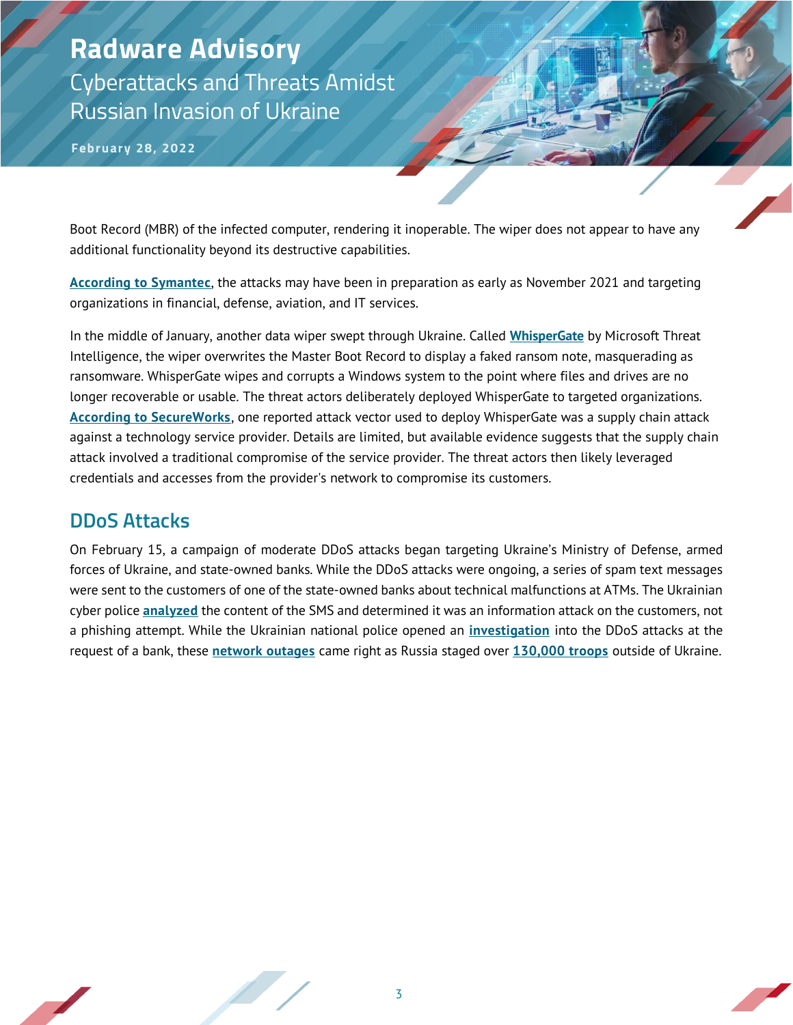**February 28, 2022**

Boot Record (MBR) of the infected computer, rendering it inoperable. The wiper does not appear to have any additional functionality beyond its destructive capabilities.

**[According to Symantec](https://symantec-enterprise-blogs.security.com/blogs/threat-intelligence/ukraine-wiper-malware-russia)**, the attacks may have been in preparation as early as November 2021 and targeting organizations in financial, defense, aviation, and IT services.

In the middle of January, another data wiper swept through Ukraine. Called **[WhisperGate](https://www.microsoft.com/security/blog/2022/01/15/destructive-malware-targeting-ukrainian-organizations/)** by Microsoft Threat Intelligence, the wiper overwrites the Master Boot Record to display a faked ransom note, masquerading as ransomware. WhisperGate wipes and corrupts a Windows system to the point where files and drives are no longer recoverable or usable. The threat actors deliberately deployed WhisperGate to targeted organizations. **[According to SecureWorks](https://www.secureworks.com/blog/whispergate-not-notpetya)**, one reported attack vector used to deploy WhisperGate was a supply chain attack against a technology service provider. Details are limited, but available evidence suggests that the supply chain attack involved a traditional compromise of the service provider. The threat actors then likely leveraged credentials and accesses from the provider's network to compromise its customers.

#### **DDoS Attacks**

On February 15, a campaign of moderate DDoS attacks began targeting Ukraine's Ministry of Defense, armed forces of Ukraine, and state-owned banks. While the DDoS attacks were ongoing, a series of spam text messages were sent to the customers of one of the state-owned banks about technical malfunctions at ATMs. The Ukrainian cyber police **[analyzed](https://cyberpolice.gov.ua/news/kiberpolicziya-vstanovlyuye-osib-prychetnyx-do-rozsylannya-sms-povidomlen-shhodo-zboyiv-u-roboti-bankomativ-7072/)** the content of the SMS and determined it was an information attack on the customers, not a phishing attempt. While the Ukrainian national police opened an **[investigation](https://www.npu.gov.ua/news/kiberzlochini/naczpolicziya-vidkrila-kriminalne-provadzhennya-za-faktom-DDoS-atak-na-ukrajinski-vebresursi/)** into the DDoS attacks at the request of a bank, these **[network outages](https://netblocks.org/reports/ukraine-banking-and-defence-platforms-knocked-out-russia-conflict-JBQX7mAo)** came right as Russia staged over **[130,000 troops](https://apnews.com/article/russia-ukraine-joe-biden-russia-europe-moscow-dce9b30db290a6e82f5aaa0f35a3125a)** outside of Ukraine.

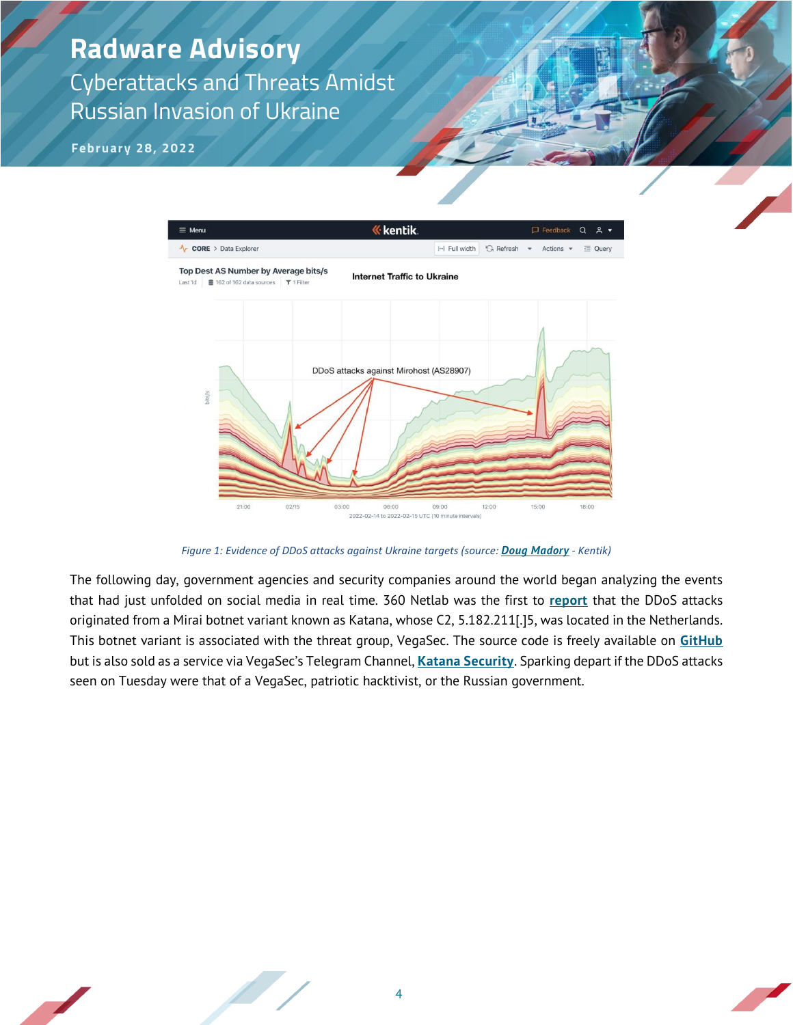**February 28, 2022**



*Figure 1: Evidence of DDoS attacks against Ukraine targets (source: [Doug Madory](https://twitter.com/DougMadory/status/1493680334965297159) - Kentik)*

The following day, government agencies and security companies around the world began analyzing the events that had just unfolded on social media in real time. 360 Netlab was the first to **[report](https://twitter.com/360Netlab/status/1493797519725367302)** that the DDoS attacks originated from a Mirai botnet variant known as Katana, whose C2, 5.182.211[.]5, was located in the Netherlands. This botnet variant is associated with the threat group, VegaSec. The source code is freely available on **[GitHub](https://github.com/saintly2k/katana)** but is also sold as a service via VegaSec's Telegram Channel, **[Katana Security](https://t.me/katanaslice)**. Sparking depart if the DDoS attacks seen on Tuesday were that of a VegaSec, patriotic hacktivist, or the Russian government.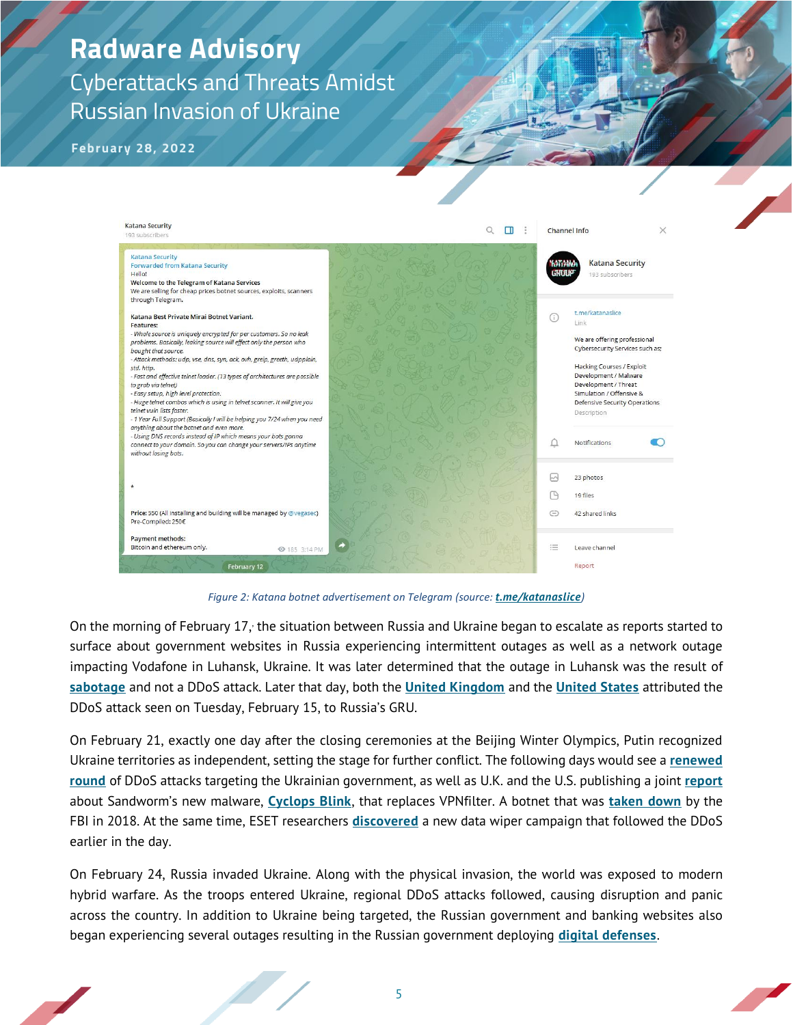**February 28, 2022**



*Figure 2: Katana botnet advertisement on Telegram (source: [t.me/katanaslice](file:///C:/Users/pgeen/AppData/Local/Microsoft/Windows/INetCache/Content.Outlook/SBAFD1X1/t.me/katanaslice))*

On the morning of February 17, the situation between Russia and Ukraine began to escalate as reports started to surface about government websites in Russia experiencing intermittent outages as well as a network outage impacting Vodafone in Luhansk, Ukraine. It was later determined that the outage in Luhansk was the result of **[sabotage](https://www.facebook.com/anton.gerashchenko.7/posts/4845187355568073)** and not a DDoS attack. Later that day, both the **[United Kingdom](https://www.gov.uk/government/news/uk-assess-russian-involvement-in-cyber-attacks-on-ukraine)** and the **[United States](https://www.youtube.com/watch?v=HycneIX8Zos)** attributed the DDoS attack seen on Tuesday, February 15, to Russia's GRU.

On February 21, exactly one day after the closing ceremonies at the Beijing Winter Olympics, Putin recognized Ukraine territories as independent, setting the stage for further conflict. The following days would see a **[renewed](https://twitter.com/netblocks/status/1496498930925940738)  [round](https://twitter.com/netblocks/status/1496498930925940738)** of DDoS attacks targeting the Ukrainian government, as well as U.K. and the U.S. publishing a joint **[report](https://www.ncsc.gov.uk/news/new-sandworm-malware-cyclops-blink-replaces-vpnfilter)** about Sandworm's new malware, **[Cyclops Blink](https://www.ncsc.gov.uk/files/Cyclops-Blink-Malware-Analysis-Report.pdf)**, that replaces VPNfilter. A botnet that was **[taken down](https://www.bleepingcomputer.com/news/security/fbi-takes-control-of-apt28s-vpnfilter-botnet/)** by the FBI in 2018. At the same time, ESET researchers **[discovered](https://twitter.com/ESETresearch/status/1496581903205511181)** a new data wiper campaign that followed the DDoS earlier in the day.

On February 24, Russia invaded Ukraine. Along with the physical invasion, the world was exposed to modern hybrid warfare. As the troops entered Ukraine, regional DDoS attacks followed, causing disruption and panic across the country. In addition to Ukraine being targeted, the Russian government and banking websites also began experiencing several outages resulting in the Russian government deploying **[digital defenses](https://therecord.media/russia-appears-to-deploy-digital-defenses-after-ddos-attacks/)**.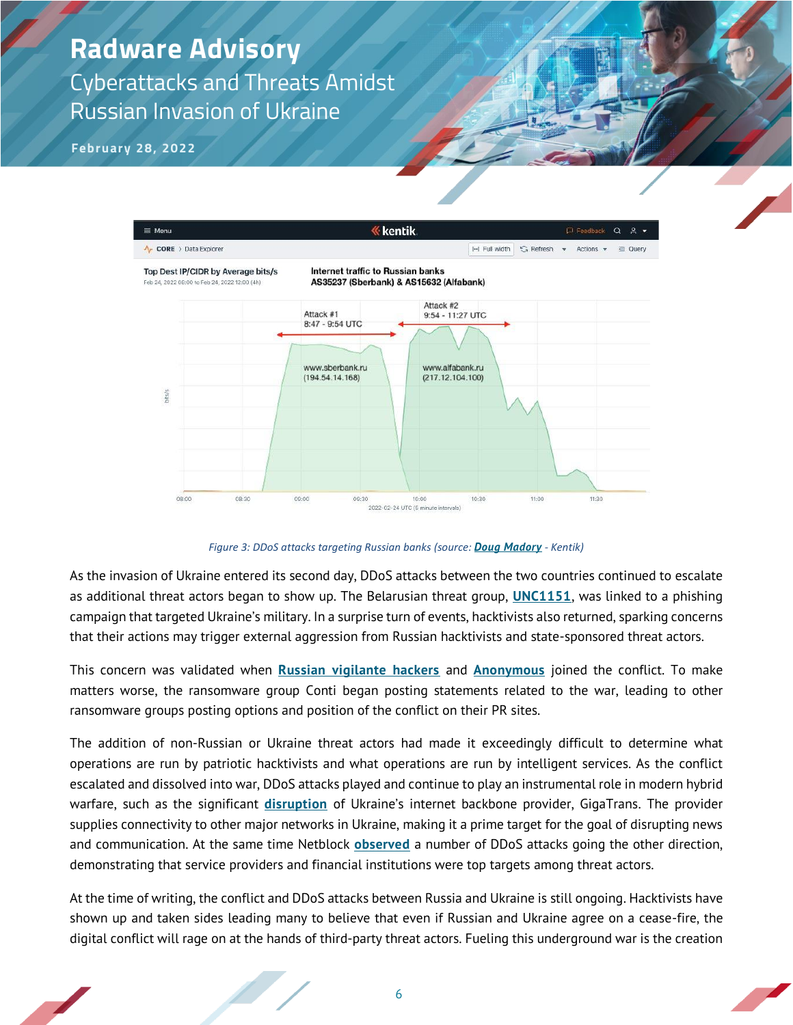**February 28, 2022**



*Figure 3: DDoS attacks targeting Russian banks (source: [Doug Madory](https://twitter.com/DougMadory/status/1496961857638309893) - Kentik)*

As the invasion of Ukraine entered its second day, DDoS attacks between the two countries continued to escalate as additional threat actors began to show up. The Belarusian threat group, **[UNC1151](https://www.bleepingcomputer.com/news/security/ukraine-links-phishing-targeting-military-to-belarusian-hackers/)**, was linked to a phishing campaign that targeted Ukraine's military. In a surprise turn of events, hacktivists also returned, sparking concerns that their actions may trigger external aggression from Russian hacktivists and state-sponsored threat actors.

This concern was validated when **[Russian vigilante hackers](https://www.bbc.com/news/technology-60528594)** and **[Anonymous](https://twitter.com/YourAnonNews/status/1497574730282541060)** joined the conflict. To make matters worse, the ransomware group Conti began posting statements related to the war, leading to other ransomware groups posting options and position of the conflict on their PR sites.

The addition of non-Russian or Ukraine threat actors had made it exceedingly difficult to determine what operations are run by patriotic hacktivists and what operations are run by intelligent services. As the conflict escalated and dissolved into war, DDoS attacks played and continue to play an instrumental role in modern hybrid warfare, such as the significant **[disruption](https://twitter.com/netblocks/status/1497409488403505153)** of Ukraine's internet backbone provider, GigaTrans. The provider supplies connectivity to other major networks in Ukraine, making it a prime target for the goal of disrupting news and communication. At the same time Netblock **[observed](https://twitter.com/netblocks/status/1497594515233951744)** a number of DDoS attacks going the other direction, demonstrating that service providers and financial institutions were top targets among threat actors.

At the time of writing, the conflict and DDoS attacks between Russia and Ukraine is still ongoing. Hacktivists have shown up and taken sides leading many to believe that even if Russian and Ukraine agree on a cease-fire, the digital conflict will rage on at the hands of third-party threat actors. Fueling this underground war is the creation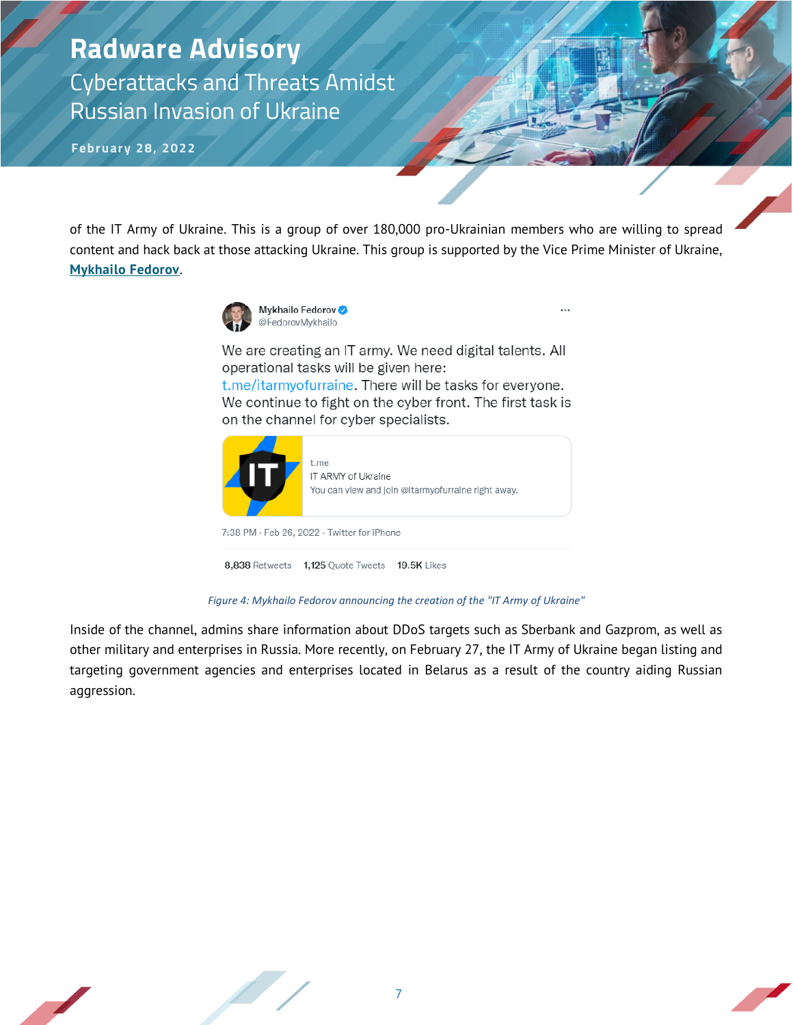# **Radware Advisory**

Cyberattacks and Threats Amidst Russian Invasion of Ukraine

**February 28, 2022**

of the IT Army of Ukraine. This is a group of over 180,000 pro-Ukrainian members who are willing to spread content and hack back at those attacking Ukraine. This group is supported by the Vice Prime Minister of Ukraine, **[Mykhailo Fedorov](https://twitter.com/FedorovMykhailo/status/1497642156076511233)**.



We are creating an IT army. We need digital talents. All operational tasks will be given here: t.me/itarmyofurraine. There will be tasks for everyone. We continue to fight on the cyber front. The first task is on the channel for cyber specialists.



*Figure 4: Mykhailo Fedorov announcing the creation of the "IT Army of Ukraine"*

Inside of the channel, admins share information about DDoS targets such as Sberbank and Gazprom, as well as other military and enterprises in Russia. More recently, on February 27, the IT Army of Ukraine began listing and targeting government agencies and enterprises located in Belarus as a result of the country aiding Russian aggression.

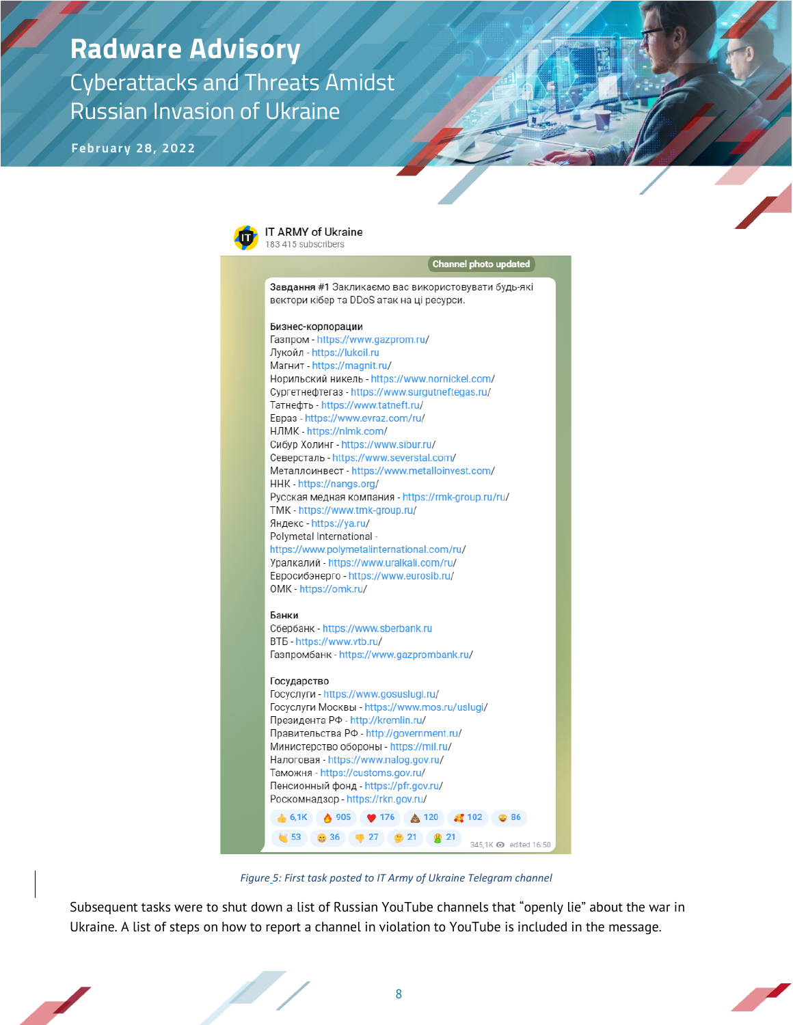**February 28, 2022**



*Figure 5: First task posted to IT Army of Ukraine Telegram channel*

Subsequent tasks were to shut down a list of Russian YouTube channels that "openly lie" about the war in Ukraine. A list of steps on how to report a channel in violation to YouTube is included in the message.

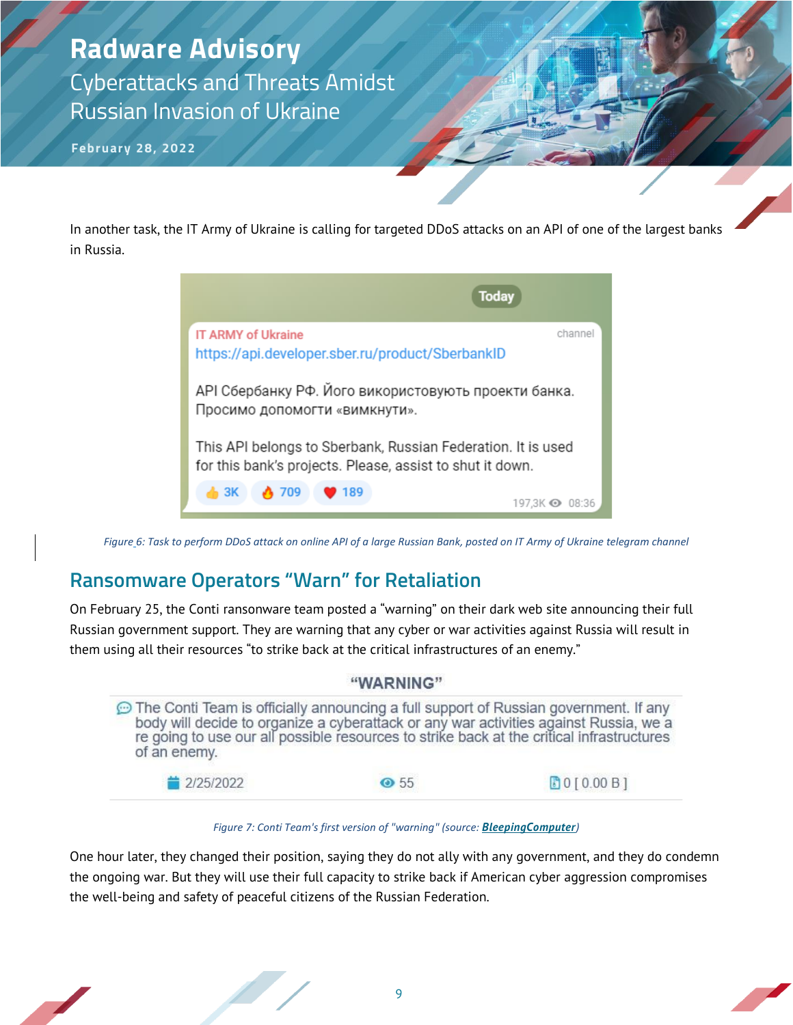**February 28, 2022**

In another task, the IT Army of Ukraine is calling for targeted DDoS attacks on an API of one of the largest banks in Russia.



*Figure 6: Task to perform DDoS attack on online API of a large Russian Bank, posted on IT Army of Ukraine telegram channel*

#### **Ransomware Operators "Warn" for Retaliation**

On February 25, the Conti ransonware team posted a "warning" on their dark web site announcing their full Russian government support. They are warning that any cyber or war activities against Russia will result in them using all their resources "to strike back at the critical infrastructures of an enemy."

| "WARNING"                                                                                            |            |                                                                                                                                                                                    |
|------------------------------------------------------------------------------------------------------|------------|------------------------------------------------------------------------------------------------------------------------------------------------------------------------------------|
| The Conti Team is officially announcing a full support of Russian government. If any<br>of an enemy. |            | body will decide to organize a cyberattack or any war activities against Russia, we a<br>re going to use our all possible resources to strike back at the critical infrastructures |
| ■ 2/25/2022                                                                                          | $\odot$ 55 | <b>BO[0.00B]</b>                                                                                                                                                                   |

*Figure 7: Conti Team's first version of "warning" (source: [BleepingComputer](https://www.bleepingcomputer.com/news/security/ransomware-gangs-hackers-pick-sides-over-russia-invading-ukraine/))*

One hour later, they changed their position, saying they do not ally with any government, and they do condemn the ongoing war. But they will use their full capacity to strike back if American cyber aggression compromises the well-being and safety of peaceful citizens of the Russian Federation.

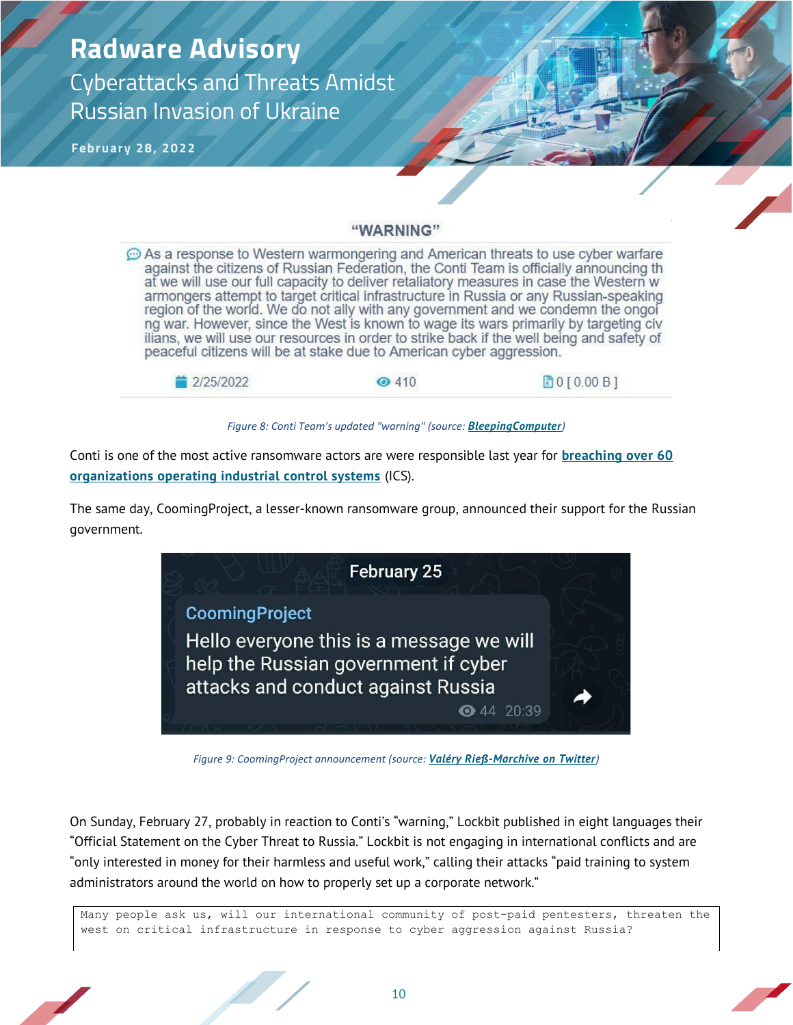**February 28, 2022**

#### "WARNING"

 $\odot$  As a response to Western warmongering and American threats to use cyber warfare against the citizens of Russian Federation, the Conti Team is officially announcing th at we will use our full capacity to deliver retaliatory measures in case the Western w armongers attempt to target critical infrastructure in Russia or any Russian-speaking region of the world. We do not ally with any government and we condemn the ongol ng war. However, since the West is known to wage its wars primarily by targeting civ ilians, we will use our resources in order to strike back if the well being and safety of peaceful citizens will be at stake due to American cyber aggression.



*Figure 8: Conti Team's updated "warning" (source: [BleepingComputer](https://www.bleepingcomputer.com/news/security/ransomware-gangs-hackers-pick-sides-over-russia-invading-ukraine/))*

Conti is one of the most active ransomware actors are were responsible last year for **[breaching over 60](https://www.bleepingcomputer.com/news/security/lockbit-conti-most-active-ransomware-targeting-industrial-sector/)  [organizations operating industrial control systems](https://www.bleepingcomputer.com/news/security/lockbit-conti-most-active-ransomware-targeting-industrial-sector/)** (ICS).

The same day, CoomingProject, a lesser-known ransomware group, announced their support for the Russian government.



*Figure 9: CoomingProject announcement (source: [Valéry Rieß-Marchive on Twitter](https://twitter.com/valerymarchive))*

On Sunday, February 27, probably in reaction to Conti's "warning," Lockbit published in eight languages their "Official Statement on the Cyber Threat to Russia." Lockbit is not engaging in international conflicts and are "only interested in money for their harmless and useful work," calling their attacks "paid training to system administrators around the world on how to properly set up a corporate network."

Many people ask us, will our international community of post-paid pentesters, threaten the west on critical infrastructure in response to cyber aggression against Russia?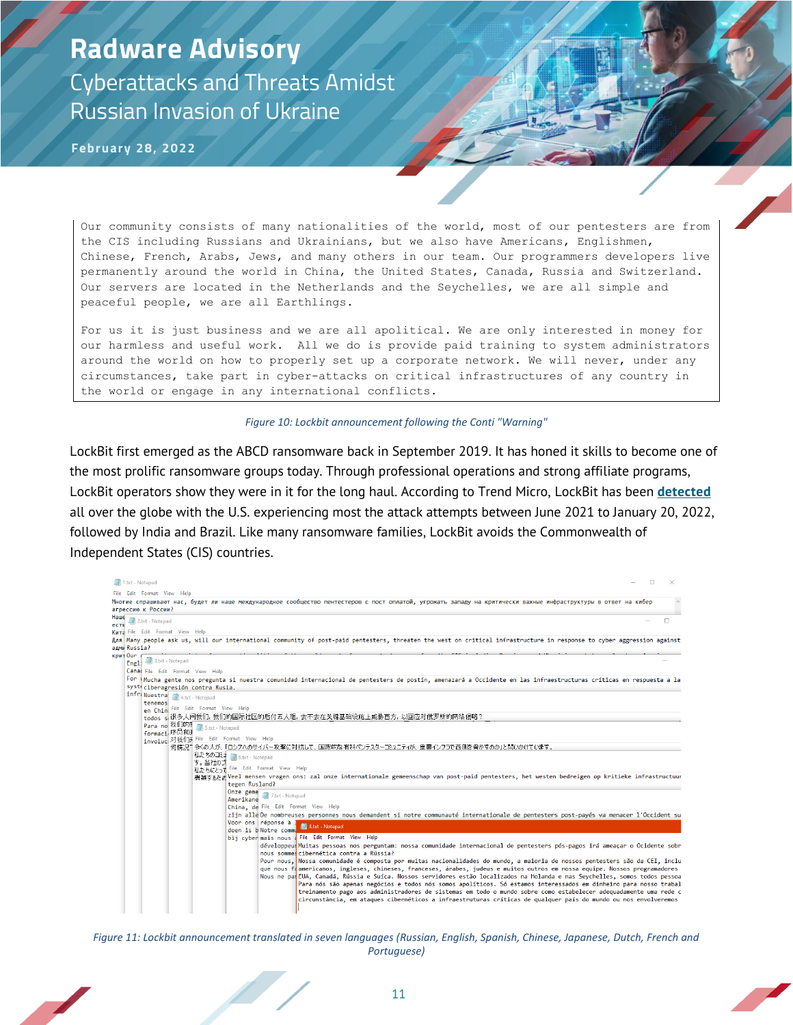**February 28, 2022**

Our community consists of many nationalities of the world, most of our pentesters are from the CIS including Russians and Ukrainians, but we also have Americans, Englishmen, Chinese, French, Arabs, Jews, and many others in our team. Our programmers developers live permanently around the world in China, the United States, Canada, Russia and Switzerland. Our servers are located in the Netherlands and the Seychelles, we are all simple and peaceful people, we are all Earthlings.

For us it is just business and we are all apolitical. We are only interested in money for our harmless and useful work. All we do is provide paid training to system administrators around the world on how to properly set up a corporate network. We will never, under any circumstances, take part in cyber-attacks on critical infrastructures of any country in the world or engage in any international conflicts.

#### *Figure 10: Lockbit announcement following the Conti "Warning"*

LockBit first emerged as the ABCD ransomware back in September 2019. It has honed it skills to become one of the most prolific ransomware groups today. Through professional operations and strong affiliate programs, LockBit operators show they were in it for the long haul. According to Trend Micro, LockBit has been **[detected](https://www.trendmicro.com/vinfo/us/security/news/ransomware-spotlight/ransomware-spotlight-lockbit)** all over the globe with the U.S. experiencing most the attack attempts between June 2021 to January 20, 2022, followed by India and Brazil. Like many ransomware families, LockBit avoids the Commonwealth of Independent States (CIS) countries.



*Figure 11: Lockbit announcement translated in seven languages (Russian, English, Spanish, Chinese, Japanese, Dutch, French and Portuguese)*

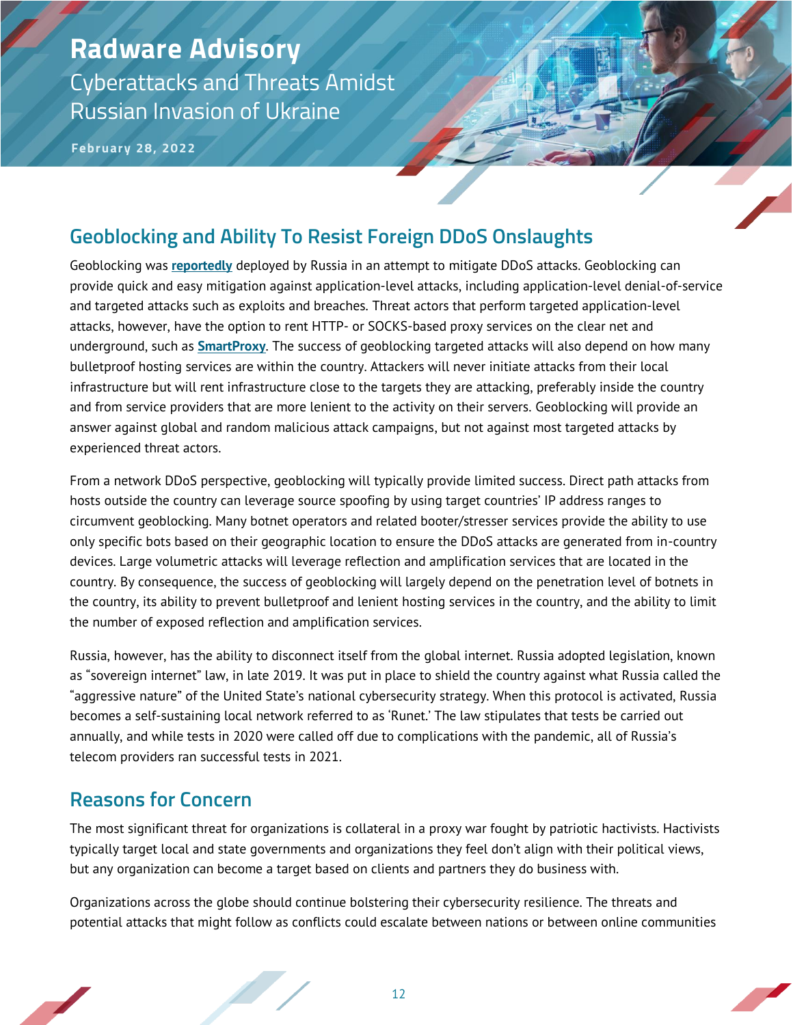**February 28, 2022**

#### **Geoblocking and Ability To Resist Foreign DDoS Onslaughts**

Geoblocking was **[reportedly](https://therecord.media/russia-appears-to-deploy-digital-defenses-after-ddos-attacks/)** deployed by Russia in an attempt to mitigate DDoS attacks. Geoblocking can provide quick and easy mitigation against application-level attacks, including application-level denial-of-service and targeted attacks such as exploits and breaches. Threat actors that perform targeted application-level attacks, however, have the option to rent HTTP- or SOCKS-based proxy services on the clear net and underground, such as **[SmartProxy](https://smartproxy.com/proxies/residential-proxies)**. The success of geoblocking targeted attacks will also depend on how many bulletproof hosting services are within the country. Attackers will never initiate attacks from their local infrastructure but will rent infrastructure close to the targets they are attacking, preferably inside the country and from service providers that are more lenient to the activity on their servers. Geoblocking will provide an answer against global and random malicious attack campaigns, but not against most targeted attacks by experienced threat actors.

From a network DDoS perspective, geoblocking will typically provide limited success. Direct path attacks from hosts outside the country can leverage source spoofing by using target countries' IP address ranges to circumvent geoblocking. Many botnet operators and related booter/stresser services provide the ability to use only specific bots based on their geographic location to ensure the DDoS attacks are generated from in-country devices. Large volumetric attacks will leverage reflection and amplification services that are located in the country. By consequence, the success of geoblocking will largely depend on the penetration level of botnets in the country, its ability to prevent bulletproof and lenient hosting services in the country, and the ability to limit the number of exposed reflection and amplification services.

Russia, however, has the ability to disconnect itself from the global internet. Russia adopted legislation, known as "sovereign internet" law, in late 2019. It was put in place to shield the country against what Russia called the "aggressive nature" of the United State's national cybersecurity strategy. When this protocol is activated, Russia becomes a self-sustaining local network referred to as 'Runet.' The law stipulates that tests be carried out annually, and while tests in 2020 were called off due to complications with the pandemic, all of Russia's telecom providers ran successful tests in 2021.

#### **Reasons for Concern**

The most significant threat for organizations is collateral in a proxy war fought by patriotic hactivists. Hactivists typically target local and state governments and organizations they feel don't align with their political views, but any organization can become a target based on clients and partners they do business with.

Organizations across the globe should continue bolstering their cybersecurity resilience. The threats and potential attacks that might follow as conflicts could escalate between nations or between online communities